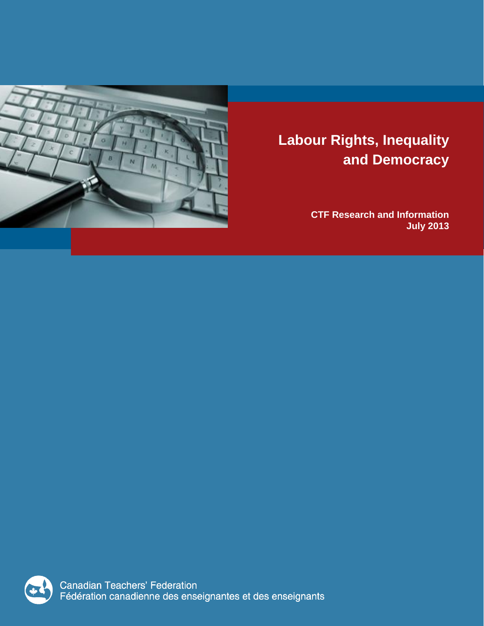

# **Labour Rights, Inequality and Democracy**

**CTF Research and Information July 2013**



**Canadian Teachers' Federation** Fédération canadienne des enseignantes et des enseignants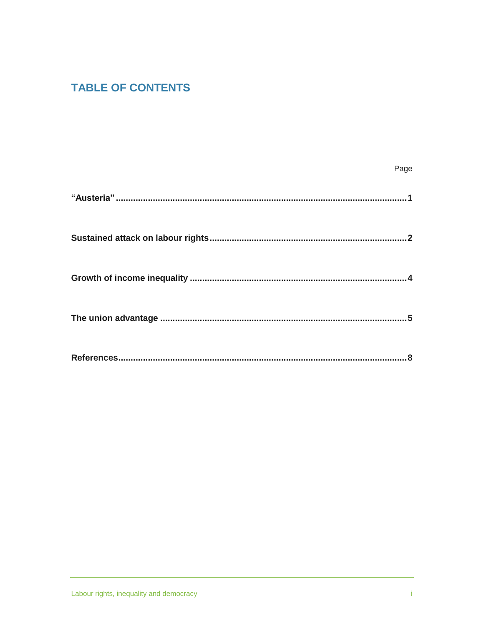# **TABLE OF CONTENTS**

| Page |
|------|
|      |
|      |
|      |
|      |
|      |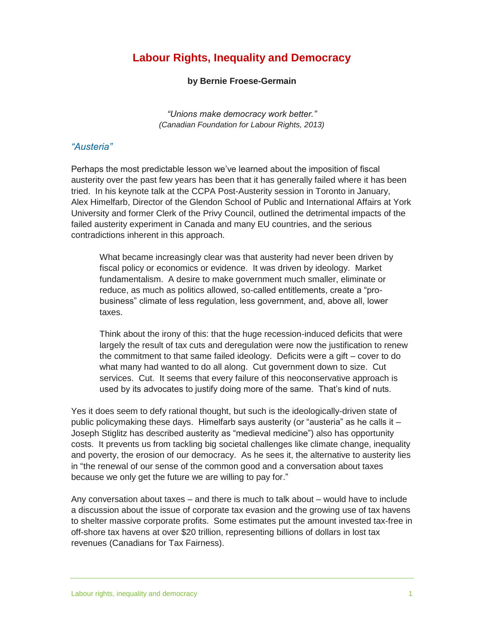# **Labour Rights, Inequality and Democracy**

#### **by Bernie Froese-Germain**

*"Unions make democracy work better." (Canadian Foundation for Labour Rights, 2013)*

#### *"Austeria"*

Perhaps the most predictable lesson we've learned about the imposition of fiscal austerity over the past few years has been that it has generally failed where it has been tried. In his keynote talk at the CCPA Post-Austerity session in Toronto in January, Alex Himelfarb, Director of the Glendon School of Public and International Affairs at York University and former Clerk of the Privy Council, outlined the detrimental impacts of the failed austerity experiment in Canada and many EU countries, and the serious contradictions inherent in this approach.

What became increasingly clear was that austerity had never been driven by fiscal policy or economics or evidence. It was driven by ideology. Market fundamentalism. A desire to make government much smaller, eliminate or reduce, as much as politics allowed, so-called entitlements, create a "probusiness" climate of less regulation, less government, and, above all, lower taxes.

Think about the irony of this: that the huge recession-induced deficits that were largely the result of tax cuts and deregulation were now the justification to renew the commitment to that same failed ideology. Deficits were a gift – cover to do what many had wanted to do all along. Cut government down to size. Cut services. Cut. It seems that every failure of this neoconservative approach is used by its advocates to justify doing more of the same. That's kind of nuts.

Yes it does seem to defy rational thought, but such is the ideologically-driven state of public policymaking these days. Himelfarb says austerity (or "austeria" as he calls it – Joseph Stiglitz has described austerity as "medieval medicine") also has opportunity costs. It prevents us from tackling big societal challenges like climate change, inequality and poverty, the erosion of our democracy. As he sees it, the alternative to austerity lies in "the renewal of our sense of the common good and a conversation about taxes because we only get the future we are willing to pay for."

Any conversation about taxes – and there is much to talk about – would have to include a discussion about the issue of corporate tax evasion and the growing use of tax havens to shelter massive corporate profits. Some estimates put the amount invested tax-free in off-shore tax havens at over \$20 trillion, representing billions of dollars in lost tax revenues (Canadians for Tax Fairness).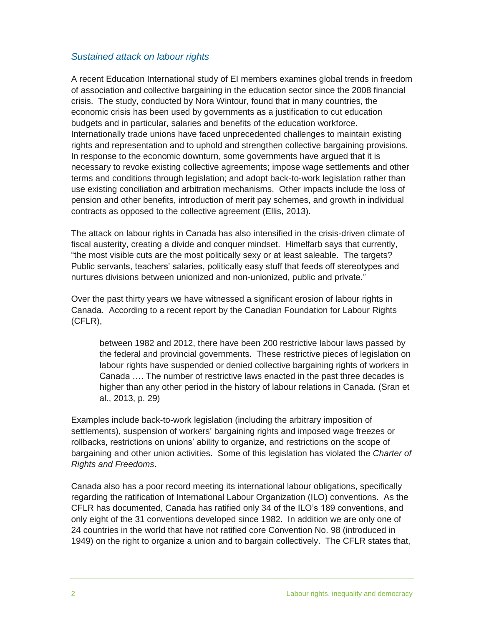## *Sustained attack on labour rights*

A recent Education International study of EI members examines global trends in freedom of association and collective bargaining in the education sector since the 2008 financial crisis. The study, conducted by Nora Wintour, found that in many countries, the economic crisis has been used by governments as a justification to cut education budgets and in particular, salaries and benefits of the education workforce. Internationally trade unions have faced unprecedented challenges to maintain existing rights and representation and to uphold and strengthen collective bargaining provisions. In response to the economic downturn, some governments have argued that it is necessary to revoke existing collective agreements; impose wage settlements and other terms and conditions through legislation; and adopt back-to-work legislation rather than use existing conciliation and arbitration mechanisms. Other impacts include the loss of pension and other benefits, introduction of merit pay schemes, and growth in individual contracts as opposed to the collective agreement (Ellis, 2013).

The attack on labour rights in Canada has also intensified in the crisis-driven climate of fiscal austerity, creating a divide and conquer mindset. Himelfarb says that currently, "the most visible cuts are the most politically sexy or at least saleable. The targets? Public servants, teachers' salaries, politically easy stuff that feeds off stereotypes and nurtures divisions between unionized and non-unionized, public and private."

Over the past thirty years we have witnessed a significant erosion of labour rights in Canada. According to a recent report by the Canadian Foundation for Labour Rights (CFLR),

between 1982 and 2012, there have been 200 restrictive labour laws passed by the federal and provincial governments. These restrictive pieces of legislation on labour rights have suspended or denied collective bargaining rights of workers in Canada …. The number of restrictive laws enacted in the past three decades is higher than any other period in the history of labour relations in Canada. (Sran et al., 2013, p. 29)

Examples include back-to-work legislation (including the arbitrary imposition of settlements), suspension of workers' bargaining rights and imposed wage freezes or rollbacks, restrictions on unions' ability to organize, and restrictions on the scope of bargaining and other union activities. Some of this legislation has violated the *Charter of Rights and Freedoms*.

Canada also has a poor record meeting its international labour obligations, specifically regarding the ratification of International Labour Organization (ILO) conventions. As the CFLR has documented, Canada has ratified only 34 of the ILO's 189 conventions, and only eight of the 31 conventions developed since 1982. In addition we are only one of 24 countries in the world that have not ratified core Convention No. 98 (introduced in 1949) on the right to organize a union and to bargain collectively. The CFLR states that,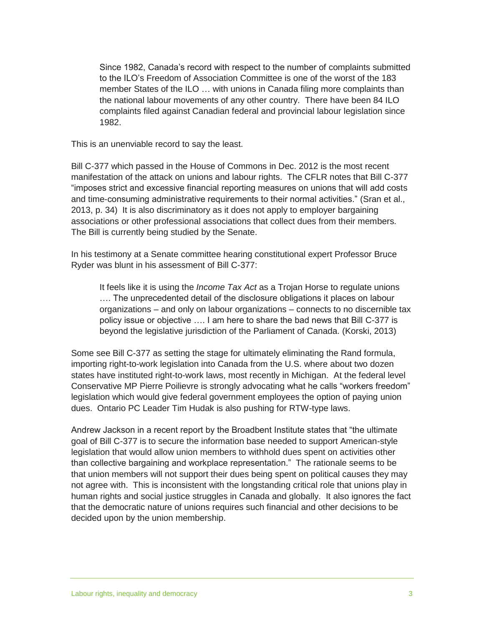Since 1982, Canada's record with respect to the number of complaints submitted to the ILO's Freedom of Association Committee is one of the worst of the 183 member States of the ILO … with unions in Canada filing more complaints than the national labour movements of any other country. There have been 84 ILO complaints filed against Canadian federal and provincial labour legislation since 1982.

This is an unenviable record to say the least.

Bill C-377 which passed in the House of Commons in Dec. 2012 is the most recent manifestation of the attack on unions and labour rights. The CFLR notes that Bill C-377 "imposes strict and excessive financial reporting measures on unions that will add costs and time-consuming administrative requirements to their normal activities." (Sran et al., 2013, p. 34) It is also discriminatory as it does not apply to employer bargaining associations or other professional associations that collect dues from their members. The Bill is currently being studied by the Senate.

In his testimony at a Senate committee hearing constitutional expert Professor Bruce Ryder was blunt in his assessment of Bill C-377:

It feels like it is using the *Income Tax Act* as a Trojan Horse to regulate unions …. The unprecedented detail of the disclosure obligations it places on labour organizations – and only on labour organizations – connects to no discernible tax policy issue or objective …. I am here to share the bad news that Bill C-377 is beyond the legislative jurisdiction of the Parliament of Canada. (Korski, 2013)

Some see Bill C-377 as setting the stage for ultimately eliminating the Rand formula, importing right-to-work legislation into Canada from the U.S. where about two dozen states have instituted right-to-work laws, most recently in Michigan. At the federal level Conservative MP Pierre Poilievre is strongly advocating what he calls "workers freedom" legislation which would give federal government employees the option of paying union dues. Ontario PC Leader Tim Hudak is also pushing for RTW-type laws.

Andrew Jackson in a recent report by the Broadbent Institute states that "the ultimate goal of Bill C-377 is to secure the information base needed to support American-style legislation that would allow union members to withhold dues spent on activities other than collective bargaining and workplace representation." The rationale seems to be that union members will not support their dues being spent on political causes they may not agree with. This is inconsistent with the longstanding critical role that unions play in human rights and social justice struggles in Canada and globally. It also ignores the fact that the democratic nature of unions requires such financial and other decisions to be decided upon by the union membership.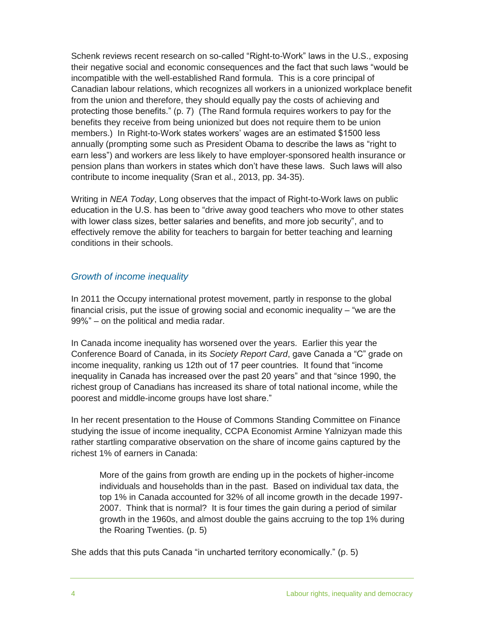Schenk reviews recent research on so-called "Right-to-Work" laws in the U.S., exposing their negative social and economic consequences and the fact that such laws "would be incompatible with the well-established Rand formula. This is a core principal of Canadian labour relations, which recognizes all workers in a unionized workplace benefit from the union and therefore, they should equally pay the costs of achieving and protecting those benefits." (p. 7) (The Rand formula requires workers to pay for the benefits they receive from being unionized but does not require them to be union members.) In Right-to-Work states workers' wages are an estimated \$1500 less annually (prompting some such as President Obama to describe the laws as "right to earn less") and workers are less likely to have employer-sponsored health insurance or pension plans than workers in states which don't have these laws. Such laws will also contribute to income inequality (Sran et al., 2013, pp. 34-35).

Writing in *NEA Today*, Long observes that the impact of Right-to-Work laws on public education in the U.S. has been to "drive away good teachers who move to other states with lower class sizes, better salaries and benefits, and more job security", and to effectively remove the ability for teachers to bargain for better teaching and learning conditions in their schools.

# *Growth of income inequality*

In 2011 the Occupy international protest movement, partly in response to the global financial crisis, put the issue of growing social and economic inequality  $-$  "we are the 99%" – on the political and media radar.

In Canada income inequality has worsened over the years. Earlier this year the Conference Board of Canada, in its *Society Report Card*, gave Canada a "C" grade on income inequality, ranking us 12th out of 17 peer countries. It found that "income inequality in Canada has increased over the past 20 years" and that "since 1990, the richest group of Canadians has increased its share of total national income, while the poorest and middle-income groups have lost share."

In her recent presentation to the House of Commons Standing Committee on Finance studying the issue of income inequality, CCPA Economist Armine Yalnizyan made this rather startling comparative observation on the share of income gains captured by the richest 1% of earners in Canada:

More of the gains from growth are ending up in the pockets of higher-income individuals and households than in the past. Based on individual tax data, the top 1% in Canada accounted for 32% of all income growth in the decade 1997- 2007. Think that is normal? It is four times the gain during a period of similar growth in the 1960s, and almost double the gains accruing to the top 1% during the Roaring Twenties. (p. 5)

She adds that this puts Canada "in uncharted territory economically." (p. 5)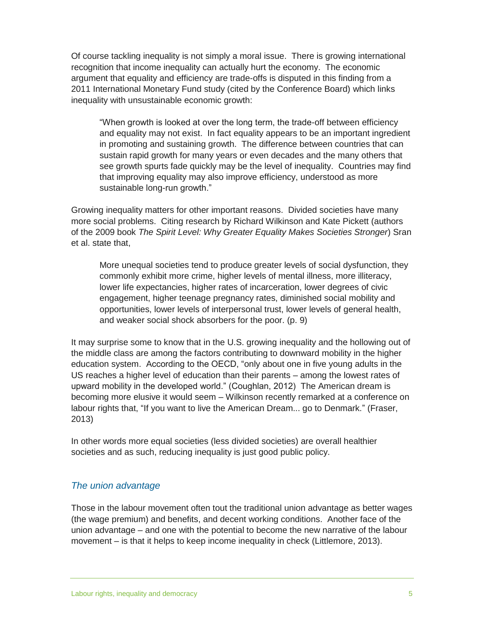Of course tackling inequality is not simply a moral issue. There is growing international recognition that income inequality can actually hurt the economy. The economic argument that equality and efficiency are trade-offs is disputed in this finding from a 2011 International Monetary Fund study (cited by the Conference Board) which links inequality with unsustainable economic growth:

"When growth is looked at over the long term, the trade-off between efficiency and equality may not exist. In fact equality appears to be an important ingredient in promoting and sustaining growth. The difference between countries that can sustain rapid growth for many years or even decades and the many others that see growth spurts fade quickly may be the level of inequality. Countries may find that improving equality may also improve efficiency, understood as more sustainable long-run growth."

Growing inequality matters for other important reasons. Divided societies have many more social problems. Citing research by Richard Wilkinson and Kate Pickett (authors of the 2009 book *The Spirit Level: Why Greater Equality Makes Societies Stronger*) Sran et al. state that,

More unequal societies tend to produce greater levels of social dysfunction, they commonly exhibit more crime, higher levels of mental illness, more illiteracy, lower life expectancies, higher rates of incarceration, lower degrees of civic engagement, higher teenage pregnancy rates, diminished social mobility and opportunities, lower levels of interpersonal trust, lower levels of general health, and weaker social shock absorbers for the poor. (p. 9)

It may surprise some to know that in the U.S. growing inequality and the hollowing out of the middle class are among the factors contributing to downward mobility in the higher education system. According to the OECD, "only about one in five young adults in the US reaches a higher level of education than their parents – among the lowest rates of upward mobility in the developed world." (Coughlan, 2012) The American dream is becoming more elusive it would seem – Wilkinson recently remarked at a conference on labour rights that, "If you want to live the American Dream... go to Denmark." (Fraser, 2013)

In other words more equal societies (less divided societies) are overall healthier societies and as such, reducing inequality is just good public policy.

### *The union advantage*

Those in the labour movement often tout the traditional union advantage as better wages (the wage premium) and benefits, and decent working conditions. Another face of the union advantage – and one with the potential to become the new narrative of the labour movement – is that it helps to keep income inequality in check (Littlemore, 2013).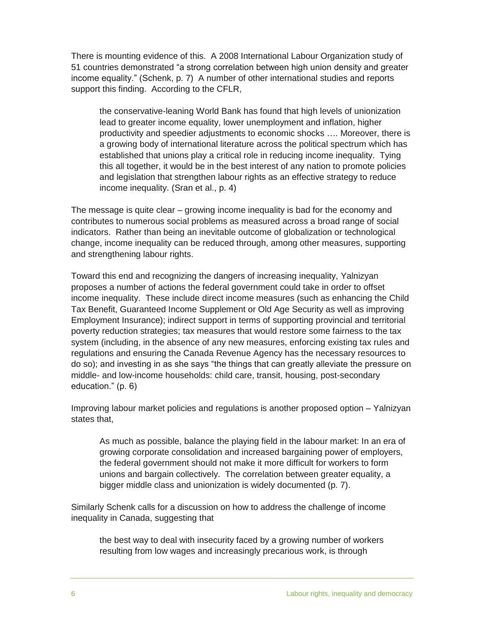There is mounting evidence of this. A 2008 International Labour Organization study of 51 countries demonstrated "a strong correlation between high union density and greater income equality." (Schenk, p. 7) A number of other international studies and reports support this finding. According to the CFLR,

the conservative-leaning World Bank has found that high levels of unionization lead to greater income equality, lower unemployment and inflation, higher productivity and speedier adjustments to economic shocks …. Moreover, there is a growing body of international literature across the political spectrum which has established that unions play a critical role in reducing income inequality. Tying this all together, it would be in the best interest of any nation to promote policies and legislation that strengthen labour rights as an effective strategy to reduce income inequality. (Sran et al., p. 4)

The message is quite clear – growing income inequality is bad for the economy and contributes to numerous social problems as measured across a broad range of social indicators. Rather than being an inevitable outcome of globalization or technological change, income inequality can be reduced through, among other measures, supporting and strengthening labour rights.

Toward this end and recognizing the dangers of increasing inequality, Yalnizyan proposes a number of actions the federal government could take in order to offset income inequality. These include direct income measures (such as enhancing the Child Tax Benefit, Guaranteed Income Supplement or Old Age Security as well as improving Employment Insurance); indirect support in terms of supporting provincial and territorial poverty reduction strategies; tax measures that would restore some fairness to the tax system (including, in the absence of any new measures, enforcing existing tax rules and regulations and ensuring the Canada Revenue Agency has the necessary resources to do so); and investing in as she says "the things that can greatly alleviate the pressure on middle- and low-income households: child care, transit, housing, post-secondary education." (p. 6)

Improving labour market policies and regulations is another proposed option – Yalnizyan states that,

As much as possible, balance the playing field in the labour market: In an era of growing corporate consolidation and increased bargaining power of employers, the federal government should not make it more difficult for workers to form unions and bargain collectively. The correlation between greater equality, a bigger middle class and unionization is widely documented (p. 7).

Similarly Schenk calls for a discussion on how to address the challenge of income inequality in Canada, suggesting that

the best way to deal with insecurity faced by a growing number of workers resulting from low wages and increasingly precarious work, is through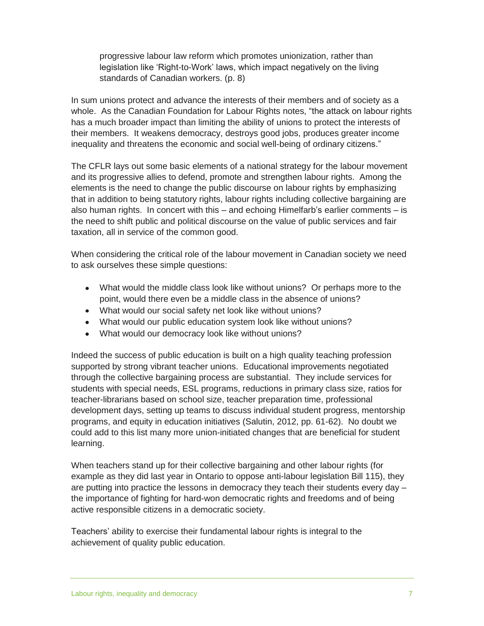progressive labour law reform which promotes unionization, rather than legislation like 'Right-to-Work' laws, which impact negatively on the living standards of Canadian workers. (p. 8)

In sum unions protect and advance the interests of their members and of society as a whole. As the Canadian Foundation for Labour Rights notes, "the attack on labour rights has a much broader impact than limiting the ability of unions to protect the interests of their members. It weakens democracy, destroys good jobs, produces greater income inequality and threatens the economic and social well-being of ordinary citizens."

The CFLR lays out some basic elements of a national strategy for the labour movement and its progressive allies to defend, promote and strengthen labour rights. Among the elements is the need to change the public discourse on labour rights by emphasizing that in addition to being statutory rights, labour rights including collective bargaining are also human rights. In concert with this – and echoing Himelfarb's earlier comments – is the need to shift public and political discourse on the value of public services and fair taxation, all in service of the common good.

When considering the critical role of the labour movement in Canadian society we need to ask ourselves these simple questions:

- What would the middle class look like without unions? Or perhaps more to the point, would there even be a middle class in the absence of unions?
- What would our social safety net look like without unions?
- What would our public education system look like without unions?
- What would our democracy look like without unions?

Indeed the success of public education is built on a high quality teaching profession supported by strong vibrant teacher unions. Educational improvements negotiated through the collective bargaining process are substantial. They include services for students with special needs, ESL programs, reductions in primary class size, ratios for teacher-librarians based on school size, teacher preparation time, professional development days, setting up teams to discuss individual student progress, mentorship programs, and equity in education initiatives (Salutin, 2012, pp. 61-62). No doubt we could add to this list many more union-initiated changes that are beneficial for student learning.

When teachers stand up for their collective bargaining and other labour rights (for example as they did last year in Ontario to oppose anti-labour legislation Bill 115), they are putting into practice the lessons in democracy they teach their students every day – the importance of fighting for hard-won democratic rights and freedoms and of being active responsible citizens in a democratic society.

Teachers' ability to exercise their fundamental labour rights is integral to the achievement of quality public education.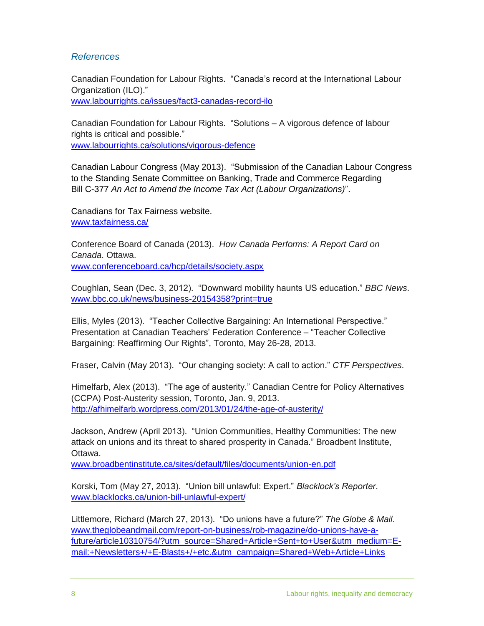## *References*

Canadian Foundation for Labour Rights. "Canada's record at the International Labour Organization (ILO)."

[www.labourrights.ca/issues/fact3-canadas-record-ilo](http://www.labourrights.ca/issues/fact3-canadas-record-ilo)

Canadian Foundation for Labour Rights. "Solutions – A vigorous defence of labour rights is critical and possible." [www.labourrights.ca/solutions/vigorous-defence](http://www.labourrights.ca/solutions/vigorous-defence)

Canadian Labour Congress (May 2013). "Submission of the Canadian Labour Congress to the Standing Senate Committee on Banking, Trade and Commerce Regarding Bill C-377 *An Act to Amend the Income Tax Act (Labour Organizations)*".

Canadians for Tax Fairness website. [www.taxfairness.ca/](http://www.taxfairness.ca/)

Conference Board of Canada (2013). *How Canada Performs: A Report Card on Canada*. Ottawa. [www.conferenceboard.ca/hcp/details/society.aspx](http://www.conferenceboard.ca/hcp/details/society.aspx)

Coughlan, Sean (Dec. 3, 2012). "Downward mobility haunts US education." *BBC News*. [www.bbc.co.uk/news/business-20154358?print=true](http://www.bbc.co.uk/news/business-20154358?print=true)

Ellis, Myles (2013). "Teacher Collective Bargaining: An International Perspective." Presentation at Canadian Teachers' Federation Conference – "Teacher Collective Bargaining: Reaffirming Our Rights", Toronto, May 26-28, 2013.

Fraser, Calvin (May 2013). "Our changing society: A call to action." *CTF Perspectives*.

Himelfarb, Alex (2013). "The age of austerity." Canadian Centre for Policy Alternatives (CCPA) Post-Austerity session, Toronto, Jan. 9, 2013. <http://afhimelfarb.wordpress.com/2013/01/24/the-age-of-austerity/>

Jackson, Andrew (April 2013). "Union Communities, Healthy Communities: The new attack on unions and its threat to shared prosperity in Canada." Broadbent Institute, Ottawa.

[www.broadbentinstitute.ca/sites/default/files/documents/union-en.pdf](http://www.broadbentinstitute.ca/sites/default/files/documents/union-en.pdf)

Korski, Tom (May 27, 2013). "Union bill unlawful: Expert." *Blacklock's Reporter*. [www.blacklocks.ca/union-bill-unlawful-expert/](http://www.blacklocks.ca/union-bill-unlawful-expert/)

Littlemore, Richard (March 27, 2013). "Do unions have a future?" *The Globe & Mail*. [www.theglobeandmail.com/report-on-business/rob-magazine/do-unions-have-a](http://www.theglobeandmail.com/report-on-business/rob-magazine/do-unions-have-a-future/article10310754/?utm_source=Shared+Article+Sent+to+User&utm_medium=E-mail:+Newsletters+/+E-Blasts+/+etc.&utm_campaign=Shared+Web+Article+Links)[future/article10310754/?utm\\_source=Shared+Article+Sent+to+User&utm\\_medium=E](http://www.theglobeandmail.com/report-on-business/rob-magazine/do-unions-have-a-future/article10310754/?utm_source=Shared+Article+Sent+to+User&utm_medium=E-mail:+Newsletters+/+E-Blasts+/+etc.&utm_campaign=Shared+Web+Article+Links)[mail:+Newsletters+/+E-Blasts+/+etc.&utm\\_campaign=Shared+Web+Article+Links](http://www.theglobeandmail.com/report-on-business/rob-magazine/do-unions-have-a-future/article10310754/?utm_source=Shared+Article+Sent+to+User&utm_medium=E-mail:+Newsletters+/+E-Blasts+/+etc.&utm_campaign=Shared+Web+Article+Links)